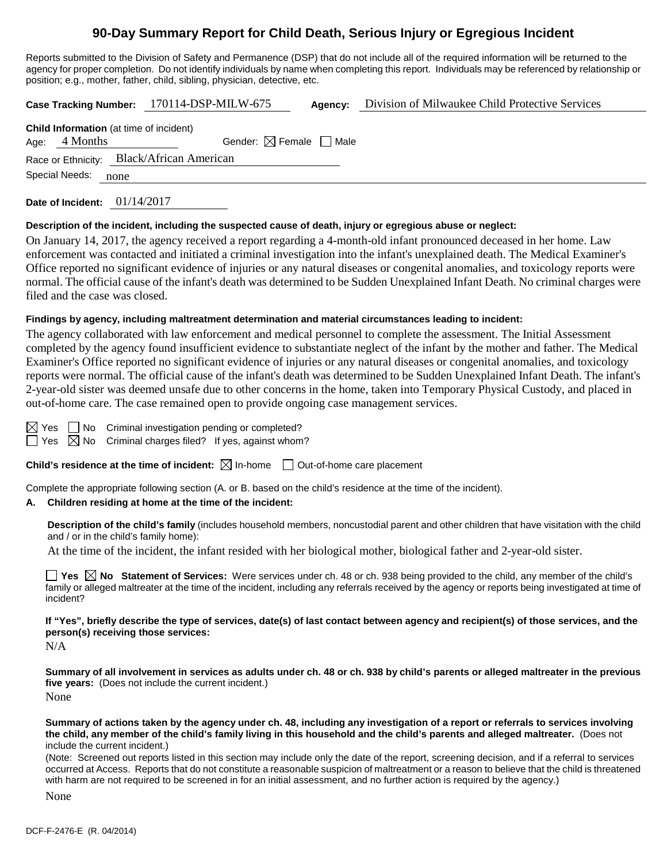# **90-Day Summary Report for Child Death, Serious Injury or Egregious Incident**

Reports submitted to the Division of Safety and Permanence (DSP) that do not include all of the required information will be returned to the agency for proper completion. Do not identify individuals by name when completing this report. Individuals may be referenced by relationship or position; e.g., mother, father, child, sibling, physician, detective, etc.

|                                           |                                                                   | Case Tracking Number: 170114-DSP-MILW-675 | Agency: | Division of Milwaukee Child Protective Services |  |  |  |  |
|-------------------------------------------|-------------------------------------------------------------------|-------------------------------------------|---------|-------------------------------------------------|--|--|--|--|
|                                           | <b>Child Information</b> (at time of incident)<br>Age: $4$ Months | Gender: $\boxtimes$ Female $\Box$ Male    |         |                                                 |  |  |  |  |
| Race or Ethnicity: Black/African American |                                                                   |                                           |         |                                                 |  |  |  |  |
| Special Needs:                            | none                                                              |                                           |         |                                                 |  |  |  |  |

**Date of Incident:** 01/14/2017

#### **Description of the incident, including the suspected cause of death, injury or egregious abuse or neglect:**

On January 14, 2017, the agency received a report regarding a 4-month-old infant pronounced deceased in her home. Law enforcement was contacted and initiated a criminal investigation into the infant's unexplained death. The Medical Examiner's Office reported no significant evidence of injuries or any natural diseases or congenital anomalies, and toxicology reports were normal. The official cause of the infant's death was determined to be Sudden Unexplained Infant Death. No criminal charges were filed and the case was closed.

#### **Findings by agency, including maltreatment determination and material circumstances leading to incident:**

The agency collaborated with law enforcement and medical personnel to complete the assessment. The Initial Assessment completed by the agency found insufficient evidence to substantiate neglect of the infant by the mother and father. The Medical Examiner's Office reported no significant evidence of injuries or any natural diseases or congenital anomalies, and toxicology reports were normal. The official cause of the infant's death was determined to be Sudden Unexplained Infant Death. The infant's 2-year-old sister was deemed unsafe due to other concerns in the home, taken into Temporary Physical Custody, and placed in out-of-home care. The case remained open to provide ongoing case management services.

 $\boxtimes$  Yes  $\Box$  No Criminal investigation pending or completed?  $\Box$  Yes  $\Box$  No Criminal charges filed? If yes, against whom?

**Child's residence at the time of incident:**  $\boxtimes$  In-home  $\Box$  Out-of-home care placement

Complete the appropriate following section (A. or B. based on the child's residence at the time of the incident).

## **A. Children residing at home at the time of the incident:**

**Description of the child's family** (includes household members, noncustodial parent and other children that have visitation with the child and / or in the child's family home):

At the time of the incident, the infant resided with her biological mother, biological father and 2-year-old sister.

■ Yes △ No Statement of Services: Were services under ch. 48 or ch. 938 being provided to the child, any member of the child's family or alleged maltreater at the time of the incident, including any referrals received by the agency or reports being investigated at time of incident?

**If "Yes", briefly describe the type of services, date(s) of last contact between agency and recipient(s) of those services, and the person(s) receiving those services:**

N/A

**Summary of all involvement in services as adults under ch. 48 or ch. 938 by child's parents or alleged maltreater in the previous five years:** (Does not include the current incident.) None

**Summary of actions taken by the agency under ch. 48, including any investigation of a report or referrals to services involving the child, any member of the child's family living in this household and the child's parents and alleged maltreater.** (Does not include the current incident.)

(Note: Screened out reports listed in this section may include only the date of the report, screening decision, and if a referral to services occurred at Access. Reports that do not constitute a reasonable suspicion of maltreatment or a reason to believe that the child is threatened with harm are not required to be screened in for an initial assessment, and no further action is required by the agency.)

None